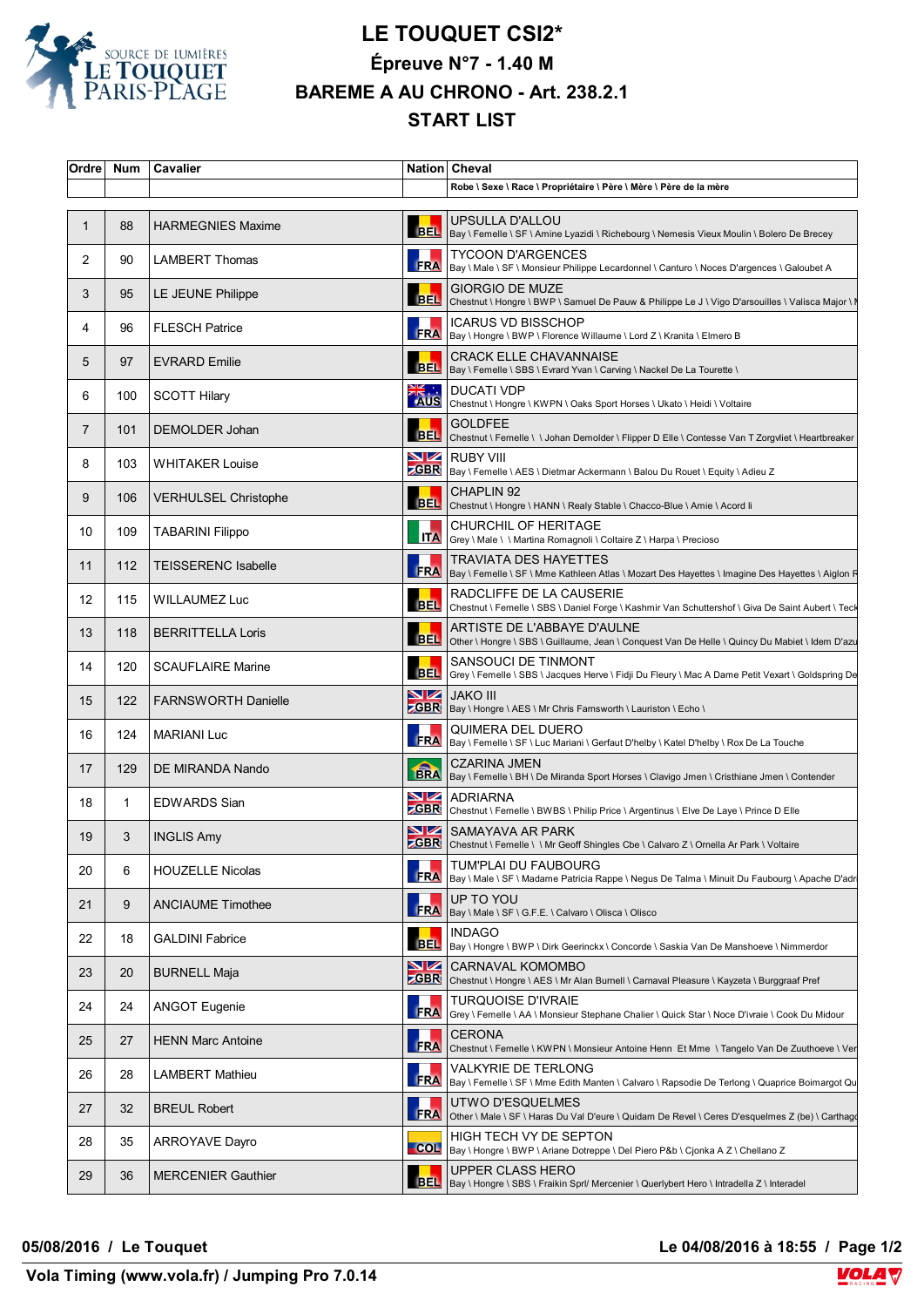

## **LE TOUQUET CSI2\* Épreuve N°7 - 1.40 M BAREME A AU CHRONO - Art. 238.2.1 START LIST**

| Ordre             | Num | Cavalier                    |                   | Nation Cheval                                                                                                                    |
|-------------------|-----|-----------------------------|-------------------|----------------------------------------------------------------------------------------------------------------------------------|
|                   |     |                             |                   | Robe \ Sexe \ Race \ Propriétaire \ Père \ Mère \ Père de la mère                                                                |
| $\mathbf{1}$      | 88  | <b>HARMEGNIES Maxime</b>    | <b>BEL</b>        | UPSULLA D'ALLOU<br>Bay \ Femelle \ SF \ Amine Lyazidi \ Richebourg \ Nemesis Vieux Moulin \ Bolero De Brecey                     |
| 2                 | 90  | <b>LAMBERT Thomas</b>       |                   | <b>TYCOON D'ARGENCES</b><br>FRA  Bay \ Male \ SF \ Monsieur Philippe Lecardonnel \ Canturo \ Noces D'argences \ Galoubet A       |
| 3                 | 95  | LE JEUNE Philippe           | <b>BEL</b>        | GIORGIO DE MUZE<br>Chestnut \ Hongre \ BWP \ Samuel De Pauw & Philippe Le J \ Vigo D'arsouilles \ Valisca Major \ I              |
| 4                 | 96  | <b>FLESCH Patrice</b>       | <b>FRA</b>        | <b>ICARUS VD BISSCHOP</b><br>Bay \ Hongre \ BWP \ Florence Willaume \ Lord Z \ Kranita \ Elmero B                                |
| 5                 | 97  | <b>EVRARD Emilie</b>        |                   | <b>CRACK ELLE CHAVANNAISE</b><br>BEL   Bay \ Femelle \ SBS \ Evrard Yvan \ Carving \ Nackel De La Tourette \                     |
| 6                 | 100 | <b>SCOTT Hilary</b>         | <b>AKA</b><br>AUS | <b>DUCATI VDP</b><br>Chestnut \ Hongre \ KWPN \ Oaks Sport Horses \ Ukato \ Heidi \ Voltaire                                     |
| 7                 | 101 | DEMOLDER Johan              | <b>BEL</b>        | <b>GOLDFEE</b><br>Chestnut \ Femelle \ \ Johan Demolder \ Flipper D Elle \ Contesse Van T Zorgvliet \ Heartbreaker               |
| 8                 | 103 | <b>WHITAKER Louise</b>      | VZ                | <b>RUBY VIII</b><br>ZGBR   Bay \ Femelle \ AES \ Dietmar Ackermann \ Balou Du Rouet \ Equity \ Adieu Z                           |
| 9                 | 106 | <b>VERHULSEL Christophe</b> |                   | <b>CHAPLIN 92</b><br>BEL Chestnut \ Hongre \ HANN \ Realy Stable \ Chacco-Blue \ Amie \ Acord li                                 |
| 10                | 109 | <b>TABARINI Filippo</b>     | <b>ITA</b>        | CHURCHIL OF HERITAGE<br> Grey \ Male \ \ Martina Romagnoli \ Coltaire Z \ Harpa \ Precioso                                       |
| 11                | 112 | <b>TEISSERENC Isabelle</b>  | <b>FRA</b>        | <b>TRAVIATA DES HAYETTES</b><br> Bay \ Femelle \ SF \ Mme Kathleen Atlas \ Mozart Des Hayettes \ Imagine Des Hayettes \ Aiglon R |
| $12 \overline{ }$ | 115 | WILLAUMEZ Luc               | <b>BEL</b>        | RADCLIFFE DE LA CAUSERIE<br>Chestnut \ Femelle \ SBS \ Daniel Forge \ Kashmir Van Schuttershof \ Giva De Saint Aubert \ Teck     |
| 13                | 118 | <b>BERRITTELLA Loris</b>    | <b>BEL</b>        | ARTISTE DE L'ABBAYE D'AULNE<br>Other \ Hongre \ SBS \ Guillaume, Jean \ Conquest Van De Helle \ Quincy Du Mabiet \ Idem D'azu    |
| 14                | 120 | <b>SCAUFLAIRE Marine</b>    | <b>BEL</b>        | SANSOUCI DE TINMONT<br> Grey \ Femelle \ SBS \ Jacques Herve \ Fidji Du Fleury \ Mac A Dame Petit Vexart \ Goldspring De         |
| 15                | 122 | <b>FARNSWORTH Danielle</b>  | VZ                | <b>JAKO III</b><br>Bay \ Hongre \ AES \ Mr Chris Farnsworth \ Lauriston \ Echo \                                                 |
| 16                | 124 | <b>MARIANI Luc</b>          |                   | QUIMERA DEL DUERO<br>FRA  Bay \ Femelle \ SF \ Luc Mariani \ Gerfaut D'helby \ Katel D'helby \ Rox De La Touche                  |
| 17                | 129 | DE MIRANDA Nando            |                   | CZARINA JMEN<br>BRA Bay \ Femelle \ BH \ De Miranda Sport Horses \ Clavigo Jmen \ Cristhiane Jmen \ Contender                    |
| 18                | 1   | <b>EDWARDS Sian</b>         | $\blacksquare$    | <b>ADRIARNA</b><br>ZGBR Chestnut \ Femelle \ BWBS \ Philip Price \ Argentinus \ Elve De Laye \ Prince D Elle                     |
| 19                | 3   | <b>INGLIS Amy</b>           |                   | SAMAYAVA AR PARK<br><b>ZGBR</b> Chestnut \ Femelle \ \ Mr Geoff Shingles Cbe \ Calvaro Z \ Omella Ar Park \ Voltaire             |
| 20                | 6   | <b>HOUZELLE Nicolas</b>     | <b>FRA</b>        | TUM'PLAI DU FAUBOURG<br>Bay \ Male \ SF \ Madame Patricia Rappe \ Negus De Talma \ Minuit Du Faubourg \ Apache D'adr             |
| 21                | 9   | <b>ANCIAUME Timothee</b>    | <b>FRA</b>        | UP TO YOU<br>Bay \ Male \ SF \ G.F.E. \ Calvaro \ Olisca \ Olisco                                                                |
| 22                | 18  | <b>GALDINI Fabrice</b>      | <b>BEL</b>        | <b>INDAGO</b><br>Bay \ Hongre \ BWP \ Dirk Geerinckx \ Concorde \ Saskia Van De Manshoeve \ Nimmerdor                            |
| 23                | 20  | <b>BURNELL Maja</b>         | NZ                | CARNAVAL KOMOMBO<br>ZGBR Chestnut \ Hongre \ AES \ Mr Alan Burnell \ Carnaval Pleasure \ Kayzeta \ Burggraaf Pref                |
| 24                | 24  | <b>ANGOT Eugenie</b>        | <b>FRA</b>        | <b>TURQUOISE D'IVRAIE</b><br>Grey \ Femelle \ AA \ Monsieur Stephane Chalier \ Quick Star \ Noce D'ivraie \ Cook Du Midour       |
| 25                | 27  | <b>HENN Marc Antoine</b>    | <b>FRA</b>        | CERONA<br>Chestnut \ Femelle \ KWPN \ Monsieur Antoine Henn Et Mme \ Tangelo Van De Zuuthoeve \ Ver                              |
| 26                | 28  | <b>LAMBERT Mathieu</b>      | <b>FRA</b>        | VALKYRIE DE TERLONG<br>Bay \ Femelle \ SF \ Mme Edith Manten \ Calvaro \ Rapsodie De Terlong \ Quaprice Boimargot Qu             |
| 27                | 32  | <b>BREUL Robert</b>         | <b>FRA</b>        | UTWO D'ESQUELMES<br>Other \ Male \ SF \ Haras Du Val D'eure \ Quidam De Revel \ Ceres D'esquelmes Z (be) \ Carthago              |
| 28                | 35  | <b>ARROYAVE Dayro</b>       | $-COL$            | HIGH TECH VY DE SEPTON<br> Bay \ Hongre \ BWP \ Ariane Dotreppe \ Del Piero P&b \ Cjonka A Z \ Chellano Z                        |
| 29                | 36  | <b>MERCENIER Gauthier</b>   | <b>BEL</b>        | UPPER CLASS HERO<br>Bay \ Hongre \ SBS \ Fraikin Sprl/ Mercenier \ Querlybert Hero \ Intradella Z \ Interadel                    |

**05/08/2016 / Le Touquet Le 04/08/2016 à 18:55 / Page 1/2**